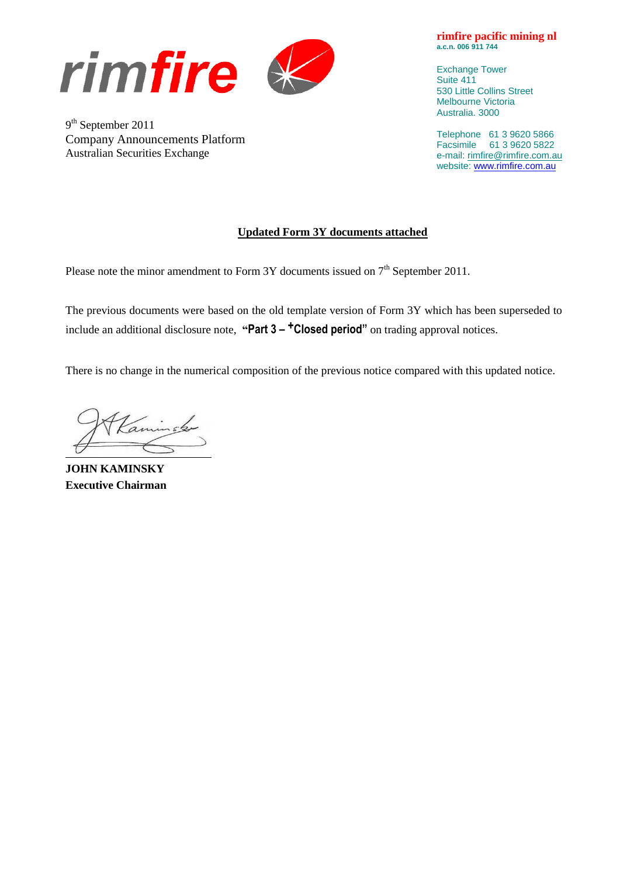

9<sup>th</sup> September 2011 Company Announcements Platform Australian Securities Exchange

**rimfire pacific mining nl a.c.n. 006 911 744**

Exchange Tower Suite 411 530 Little Collins Street Melbourne Victoria Australia. 3000

Telephone 61 3 9620 5866 Facsimile 61 3 9620 5822 e-mail: [rimfire@rimfire.com.au](mailto:rimfire@rimfire.com.au) website: [www.rimfire.com.au](http://www.rimfire.com.au/)

### **Updated Form 3Y documents attached**

Please note the minor amendment to Form 3Y documents issued on  $7<sup>th</sup>$  September 2011.

The previous documents were based on the old template version of Form 3Y which has been superseded to include an additional disclosure note, **"Part 3 – +Closed period"** on trading approval notices.

There is no change in the numerical composition of the previous notice compared with this updated notice.

**JOHN KAMINSKY Executive Chairman**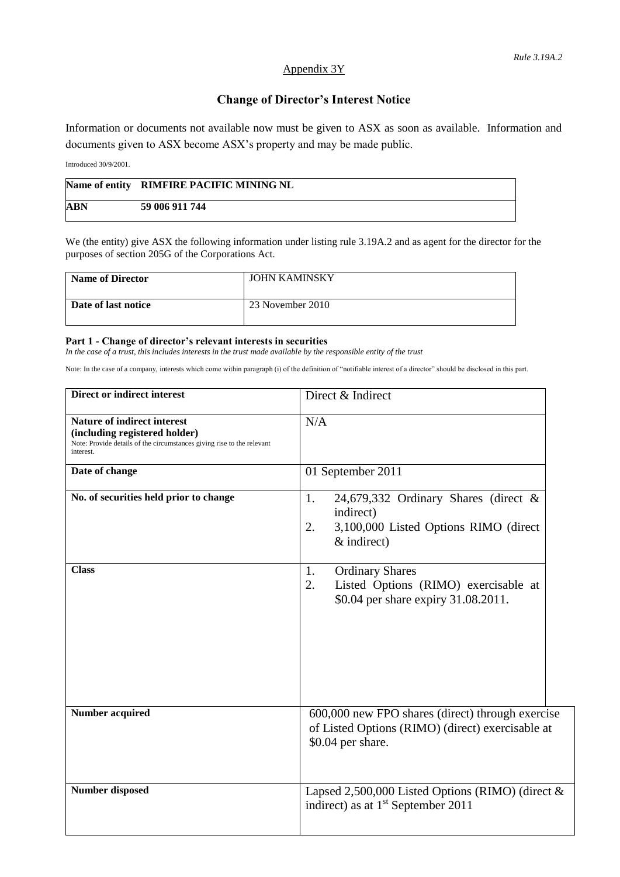### Appendix 3Y

## **Change of Director's Interest Notice**

Information or documents not available now must be given to ASX as soon as available. Information and documents given to ASX become ASX's property and may be made public.

Introduced 30/9/2001.

|            | Name of entity RIMFIRE PACIFIC MINING NL |
|------------|------------------------------------------|
| <b>ABN</b> | 59 006 911 744                           |

We (the entity) give ASX the following information under listing rule 3.19A.2 and as agent for the director for the purposes of section 205G of the Corporations Act.

| Name of Director    | <b>JOHN KAMINSKY</b> |
|---------------------|----------------------|
| Date of last notice | 23 November 2010     |

#### **Part 1 - Change of director's relevant interests in securities**

*In the case of a trust, this includes interests in the trust made available by the responsible entity of the trust*

Note: In the case of a company, interests which come within paragraph (i) of the definition of "notifiable interest of a director" should be disclosed in this part.

| Direct or indirect interest                                                                                                                                | Direct & Indirect                                                                                                          |  |
|------------------------------------------------------------------------------------------------------------------------------------------------------------|----------------------------------------------------------------------------------------------------------------------------|--|
| <b>Nature of indirect interest</b><br>(including registered holder)<br>Note: Provide details of the circumstances giving rise to the relevant<br>interest. | N/A                                                                                                                        |  |
| Date of change                                                                                                                                             | 01 September 2011                                                                                                          |  |
| No. of securities held prior to change                                                                                                                     | 24,679,332 Ordinary Shares (direct $\&$<br>1.<br>indirect)<br>3,100,000 Listed Options RIMO (direct<br>2.<br>$&$ indirect) |  |
| <b>Class</b>                                                                                                                                               | <b>Ordinary Shares</b><br>1.<br>Listed Options (RIMO) exercisable at<br>2.<br>\$0.04 per share expiry 31.08.2011.          |  |
| <b>Number acquired</b>                                                                                                                                     | 600,000 new FPO shares (direct) through exercise<br>of Listed Options (RIMO) (direct) exercisable at<br>\$0.04 per share.  |  |
| <b>Number disposed</b>                                                                                                                                     | Lapsed 2,500,000 Listed Options (RIMO) (direct &<br>indirect) as at 1 <sup>st</sup> September 2011                         |  |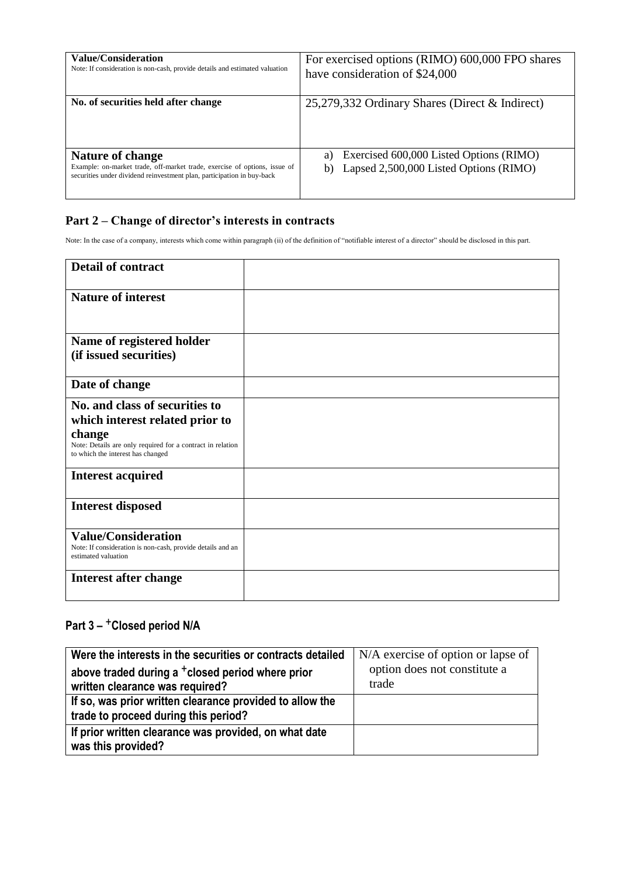| <b>Value/Consideration</b><br>Note: If consideration is non-cash, provide details and estimated valuation                                                                      | For exercised options (RIMO) 600,000 FPO shares<br>have consideration of \$24,000             |  |
|--------------------------------------------------------------------------------------------------------------------------------------------------------------------------------|-----------------------------------------------------------------------------------------------|--|
| No. of securities held after change                                                                                                                                            | 25,279,332 Ordinary Shares (Direct & Indirect)                                                |  |
| <b>Nature of change</b><br>Example: on-market trade, off-market trade, exercise of options, issue of<br>securities under dividend reinvestment plan, participation in buy-back | Exercised 600,000 Listed Options (RIMO)<br>a)<br>Lapsed 2,500,000 Listed Options (RIMO)<br>b) |  |

## **Part 2 – Change of director's interests in contracts**

Note: In the case of a company, interests which come within paragraph (ii) of the definition of "notifiable interest of a director" should be disclosed in this part.

| <b>Detail of contract</b>                                                                                                                                                      |  |
|--------------------------------------------------------------------------------------------------------------------------------------------------------------------------------|--|
| <b>Nature of interest</b>                                                                                                                                                      |  |
| Name of registered holder<br>(if issued securities)                                                                                                                            |  |
| Date of change                                                                                                                                                                 |  |
| No. and class of securities to<br>which interest related prior to<br>change<br>Note: Details are only required for a contract in relation<br>to which the interest has changed |  |
| <b>Interest acquired</b>                                                                                                                                                       |  |
| <b>Interest disposed</b>                                                                                                                                                       |  |
| <b>Value/Consideration</b><br>Note: If consideration is non-cash, provide details and an<br>estimated valuation                                                                |  |
| <b>Interest after change</b>                                                                                                                                                   |  |

# **Part 3 –** +**Closed period N/A**

| Were the interests in the securities or contracts detailed                                       | N/A exercise of option or lapse of    |
|--------------------------------------------------------------------------------------------------|---------------------------------------|
| above traded during a <sup>+</sup> closed period where prior<br>written clearance was required?  | option does not constitute a<br>trade |
| If so, was prior written clearance provided to allow the<br>trade to proceed during this period? |                                       |
| If prior written clearance was provided, on what date<br>was this provided?                      |                                       |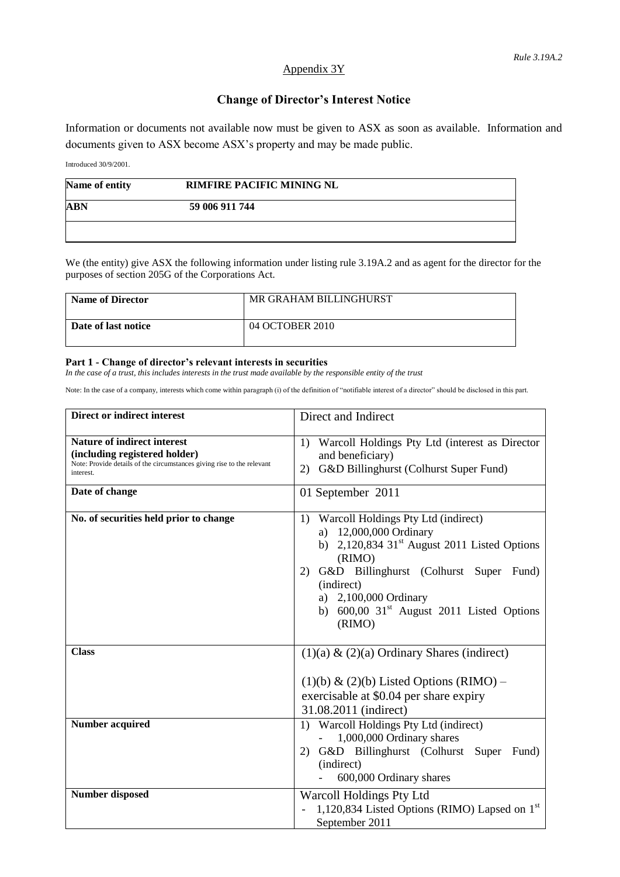### Appendix 3Y

## **Change of Director's Interest Notice**

Information or documents not available now must be given to ASX as soon as available. Information and documents given to ASX become ASX's property and may be made public.

Introduced 30/9/2001.

| Name of entity | <b>RIMFIRE PACIFIC MINING NL</b> |  |
|----------------|----------------------------------|--|
| <b>ABN</b>     | 59 006 911 744                   |  |
|                |                                  |  |

We (the entity) give ASX the following information under listing rule 3.19A.2 and as agent for the director for the purposes of section 205G of the Corporations Act.

| <b>Name of Director</b> | MR GRAHAM BILLINGHURST |
|-------------------------|------------------------|
| Date of last notice     | 04 OCTOBER 2010        |

#### **Part 1 - Change of director's relevant interests in securities**

*In the case of a trust, this includes interests in the trust made available by the responsible entity of the trust*

Note: In the case of a company, interests which come within paragraph (i) of the definition of "notifiable interest of a director" should be disclosed in this part.

| Direct or indirect interest                                                                                                                                | Direct and Indirect                                                                                                                                                                                                                                                                                        |  |
|------------------------------------------------------------------------------------------------------------------------------------------------------------|------------------------------------------------------------------------------------------------------------------------------------------------------------------------------------------------------------------------------------------------------------------------------------------------------------|--|
| <b>Nature of indirect interest</b><br>(including registered holder)<br>Note: Provide details of the circumstances giving rise to the relevant<br>interest. | Warcoll Holdings Pty Ltd (interest as Director<br>1)<br>and beneficiary)<br>G&D Billinghurst (Colhurst Super Fund)<br>2)                                                                                                                                                                                   |  |
| Date of change                                                                                                                                             | 01 September 2011                                                                                                                                                                                                                                                                                          |  |
| No. of securities held prior to change                                                                                                                     | Warcoll Holdings Pty Ltd (indirect)<br>1)<br>12,000,000 Ordinary<br>a)<br>b) $2,120,834$ 31 <sup>st</sup> August 2011 Listed Options<br>(RIMO)<br>G&D Billinghurst (Colhurst Super Fund)<br>2)<br>(indirect)<br>a) 2,100,000 Ordinary<br>b) $600,00$ 31 <sup>st</sup> August 2011 Listed Options<br>(RIMO) |  |
| <b>Class</b>                                                                                                                                               | $(1)(a)$ & $(2)(a)$ Ordinary Shares (indirect)<br>$(1)(b)$ & $(2)(b)$ Listed Options (RIMO) –<br>exercisable at \$0.04 per share expiry<br>31.08.2011 (indirect)                                                                                                                                           |  |
| Number acquired                                                                                                                                            | Warcoll Holdings Pty Ltd (indirect)<br>1)<br>1,000,000 Ordinary shares<br>G&D Billinghurst (Colhurst Super<br>Fund)<br>2)<br>(indirect)<br>600,000 Ordinary shares                                                                                                                                         |  |
| <b>Number disposed</b>                                                                                                                                     | Warcoll Holdings Pty Ltd<br>1,120,834 Listed Options (RIMO) Lapsed on $1st$<br>September 2011                                                                                                                                                                                                              |  |